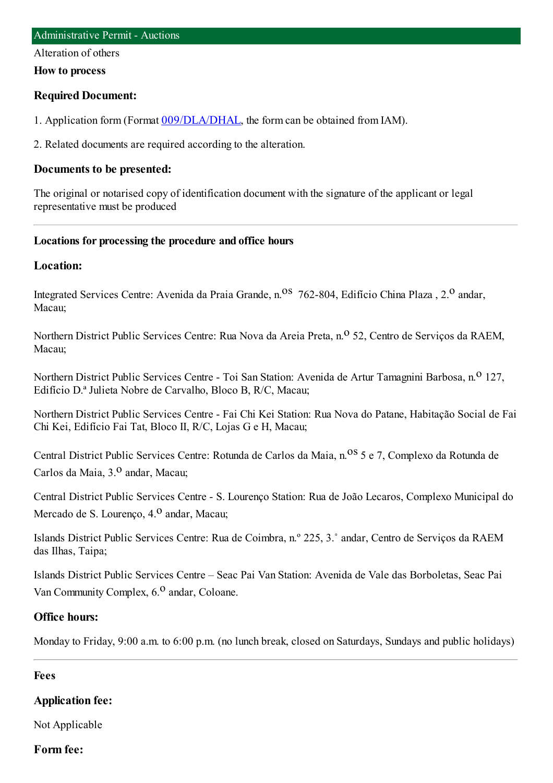Alteration of others

#### **How to process**

### **Required Document:**

1. Application form(Format [009/DLA/DHAL](http://www.iam.gov.mo/c/pdf/eformDetail/PDF363), the formcan be obtained fromIAM).

2. Related documents are required according to the alteration.

#### **Documents to be presented:**

The original or notarised copy of identification document with the signature of the applicant or legal representative must be produced

### **Locations for processing the procedure and office hours**

### **Location:**

Integrated Services Centre: Avenida da Praia Grande, n.<sup>08</sup> 762-804, Edifício China Plaza, 2.<sup>0</sup> andar, Macau;

Northern District Public Services Centre: Rua Nova da Areia Preta, n.<sup>o</sup> 52, Centro de Serviços da RAEM, Macau;

Northern District Public Services Centre - Toi San Station: Avenida de Artur Tamagnini Barbosa, n.<sup>0</sup> 127, Edifício D.ª Julieta Nobre de Carvalho, Bloco B, R/C, Macau;

Northern District Public Services Centre - Fai Chi Kei Station: Rua Nova do Patane, Habitação Social de Fai Chi Kei, Edifício Fai Tat, Bloco II, R/C, Lojas G e H, Macau;

Central District Public Services Centre: Rotunda de Carlos da Maia, n.<sup>08</sup> 5 e 7, Complexo da Rotunda de Carlos da Maia, 3.<sup>0</sup> andar, Macau;

Central District Public Services Centre - S. Lourenço Station: Rua de João Lecaros, Complexo Municipal do Mercado de S. Lourenco,  $4<sup>0</sup>$  andar, Macau;

Islands District Public Services Centre: Rua de Coimbra, n.º 225, 3.˚ andar, Centro de Serviços da RAEM das Ilhas, Taipa;

Islands District Public Services Centre – Seac Pai Van Station: Avenida de Vale das Borboletas, Seac Pai Van Community Complex, 6.<sup>0</sup> andar, Coloane.

#### **Office hours:**

Monday to Friday, 9:00 a.m. to 6:00 p.m. (no lunch break, closed on Saturdays, Sundays and public holidays)

#### **Fees**

## **Application fee:**

Not Applicable

#### **Form fee:**